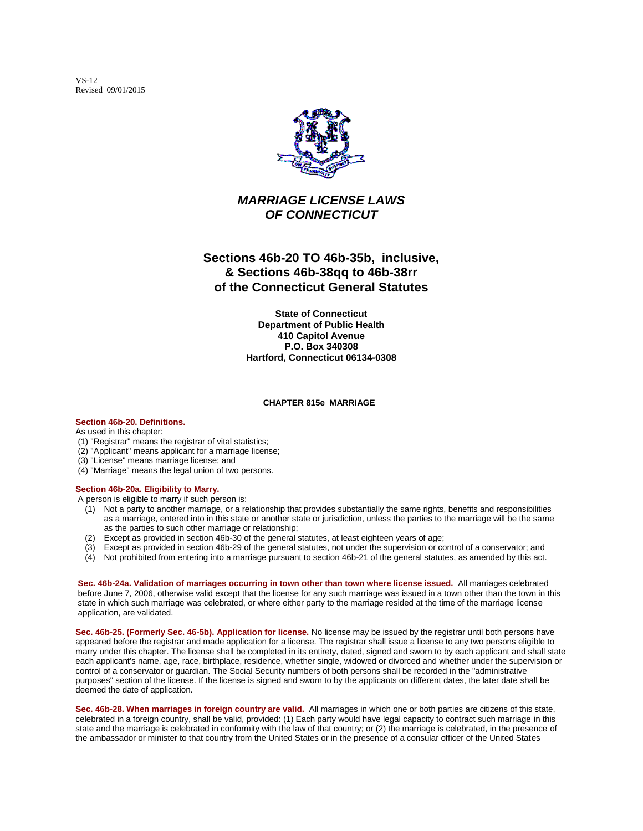VS-12 Revised 09/01/2015



## *MARRIAGE LICENSE LAWS OF CONNECTICUT*

# **Sections 46b-20 TO 46b-35b, inclusive, & Sections 46b-38qq to 46b-38rr of the Connecticut General Statutes**

**State of Connecticut Department of Public Health 410 Capitol Avenue P.O. Box 340308 Hartford, Connecticut 06134-0308**

#### **CHAPTER 815e MARRIAGE**

**Section 46b-20. Definitions.**

As used in this chapter:

- (1) "Registrar" means the registrar of vital statistics;
- (2) "Applicant" means applicant for a marriage license;
- (3) "License" means marriage license; and
- (4) "Marriage" means the legal union of two persons.

### **Section 46b-20a. Eligibility to Marry.**

A person is eligible to marry if such person is:

- (1) Not a party to another marriage, or a relationship that provides substantially the same rights, benefits and responsibilities as a marriage, entered into in this state or another state or jurisdiction, unless the parties to the marriage will be the same as the parties to such other marriage or relationship;
- (2) Except as provided in section 46b-30 of the general statutes, at least eighteen years of age;
- (3) Except as provided in section 46b-29 of the general statutes, not under the supervision or control of a conservator; and
- (4) Not prohibited from entering into a marriage pursuant to section 46b-21 of the general statutes, as amended by this act.

**Sec. 46b-24a. Validation of marriages occurring in town other than town where license issued.** All marriages celebrated before June 7, 2006, otherwise valid except that the license for any such marriage was issued in a town other than the town in this state in which such marriage was celebrated, or where either party to the marriage resided at the time of the marriage license application, are validated.

**Sec. 46b-25. (Formerly Sec. 46-5b). Application for license.** No license may be issued by the registrar until both persons have appeared before the registrar and made application for a license. The registrar shall issue a license to any two persons eligible to marry under this chapter. The license shall be completed in its entirety, dated, signed and sworn to by each applicant and shall state each applicant's name, age, race, birthplace, residence, whether single, widowed or divorced and whether under the supervision or control of a conservator or guardian. The Social Security numbers of both persons shall be recorded in the "administrative purposes" section of the license. If the license is signed and sworn to by the applicants on different dates, the later date shall be deemed the date of application.

**Sec. 46b-28. When marriages in foreign country are valid.** All marriages in which one or both parties are citizens of this state, celebrated in a foreign country, shall be valid, provided: (1) Each party would have legal capacity to contract such marriage in this state and the marriage is celebrated in conformity with the law of that country; or (2) the marriage is celebrated, in the presence of the ambassador or minister to that country from the United States or in the presence of a consular officer of the United States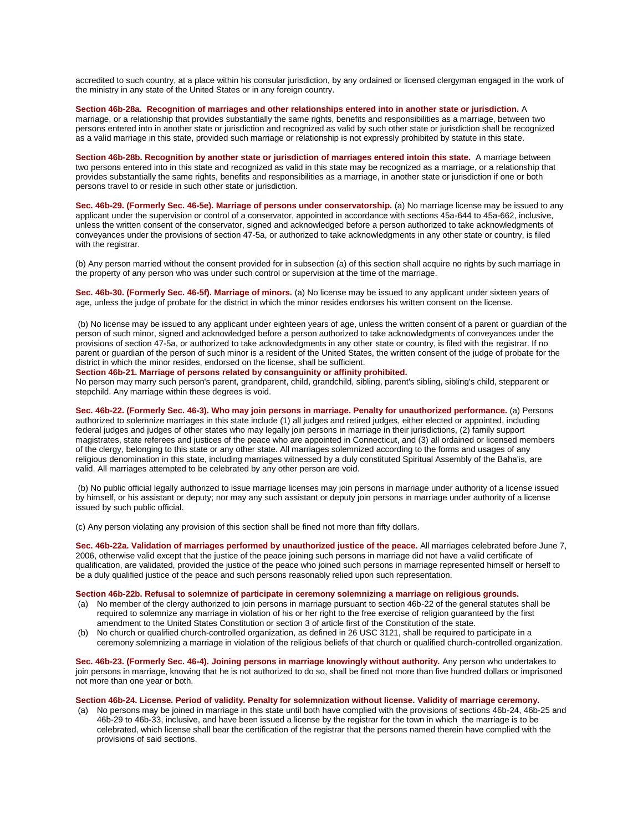accredited to such country, at a place within his consular jurisdiction, by any ordained or licensed clergyman engaged in the work of the ministry in any state of the United States or in any foreign country.

**Section 46b-28a. Recognition of marriages and other relationships entered into in another state or jurisdiction.** A marriage, or a relationship that provides substantially the same rights, benefits and responsibilities as a marriage, between two persons entered into in another state or jurisdiction and recognized as valid by such other state or jurisdiction shall be recognized as a valid marriage in this state, provided such marriage or relationship is not expressly prohibited by statute in this state.

**Section 46b-28b. Recognition by another state or jurisdiction of marriages entered intoin this state.** A marriage between two persons entered into in this state and recognized as valid in this state may be recognized as a marriage, or a relationship that provides substantially the same rights, benefits and responsibilities as a marriage, in another state or jurisdiction if one or both persons travel to or reside in such other state or jurisdiction.

**Sec. 46b-29. (Formerly Sec. 46-5e). Marriage of persons under conservatorship.** (a) No marriage license may be issued to any applicant under the supervision or control of a conservator, appointed in accordance with sections 45a-644 to 45a-662, inclusive, unless the written consent of the conservator, signed and acknowledged before a person authorized to take acknowledgments of conveyances under the provisions of section 47-5a, or authorized to take acknowledgments in any other state or country, is filed with the registrar.

(b) Any person married without the consent provided for in subsection (a) of this section shall acquire no rights by such marriage in the property of any person who was under such control or supervision at the time of the marriage.

**Sec. 46b-30. (Formerly Sec. 46-5f). Marriage of minors.** (a) No license may be issued to any applicant under sixteen years of age, unless the judge of probate for the district in which the minor resides endorses his written consent on the license.

(b) No license may be issued to any applicant under eighteen years of age, unless the written consent of a parent or guardian of the person of such minor, signed and acknowledged before a person authorized to take acknowledgments of conveyances under the provisions of section 47-5a, or authorized to take acknowledgments in any other state or country, is filed with the registrar. If no parent or guardian of the person of such minor is a resident of the United States, the written consent of the judge of probate for the district in which the minor resides, endorsed on the license, shall be sufficient.

### **Section 46b-21. Marriage of persons related by consanguinity or affinity prohibited.**

No person may marry such person's parent, grandparent, child, grandchild, sibling, parent's sibling, sibling's child, stepparent or stepchild. Any marriage within these degrees is void.

**Sec. 46b-22. (Formerly Sec. 46-3). Who may join persons in marriage. Penalty for unauthorized performance.** (a) Persons authorized to solemnize marriages in this state include (1) all judges and retired judges, either elected or appointed, including federal judges and judges of other states who may legally join persons in marriage in their jurisdictions, (2) family support magistrates, state referees and justices of the peace who are appointed in Connecticut, and (3) all ordained or licensed members of the clergy, belonging to this state or any other state. All marriages solemnized according to the forms and usages of any religious denomination in this state, including marriages witnessed by a duly constituted Spiritual Assembly of the Baha'is, are valid. All marriages attempted to be celebrated by any other person are void.

(b) No public official legally authorized to issue marriage licenses may join persons in marriage under authority of a license issued by himself, or his assistant or deputy; nor may any such assistant or deputy join persons in marriage under authority of a license issued by such public official.

(c) Any person violating any provision of this section shall be fined not more than fifty dollars.

**Sec. 46b-22a. Validation of marriages performed by unauthorized justice of the peace.** All marriages celebrated before June 7, 2006, otherwise valid except that the justice of the peace joining such persons in marriage did not have a valid certificate of qualification, are validated, provided the justice of the peace who joined such persons in marriage represented himself or herself to be a duly qualified justice of the peace and such persons reasonably relied upon such representation.

### **Section 46b-22b. Refusal to solemnize of participate in ceremony solemnizing a marriage on religious grounds.**

- (a) No member of the clergy authorized to join persons in marriage pursuant to section 46b-22 of the general statutes shall be required to solemnize any marriage in violation of his or her right to the free exercise of religion guaranteed by the first amendment to the United States Constitution or section 3 of article first of the Constitution of the state.
- (b) No church or qualified church-controlled organization, as defined in 26 USC 3121, shall be required to participate in a ceremony solemnizing a marriage in violation of the religious beliefs of that church or qualified church-controlled organization.

**Sec. 46b-23. (Formerly Sec. 46-4). Joining persons in marriage knowingly without authority.** Any person who undertakes to join persons in marriage, knowing that he is not authorized to do so, shall be fined not more than five hundred dollars or imprisoned not more than one year or both.

#### **Section 46b-24. License. Period of validity. Penalty for solemnization without license. Validity of marriage ceremony.**

(a) No persons may be joined in marriage in this state until both have complied with the provisions of sections 46b-24, 46b-25 and 46b-29 to 46b-33, inclusive, and have been issued a license by the registrar for the town in which the marriage is to be celebrated, which license shall bear the certification of the registrar that the persons named therein have complied with the provisions of said sections.